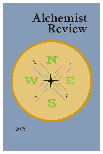## Alchemist Review

 $S_{\zeta}$ 

E

 $\sqrt{2}$ 

T

 $1/2$ 

SH

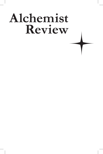# Alchemist Review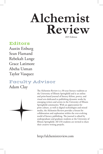# Alchemist Review

2015 Edition

#### Editors

Austin Enburg Sean Flamand Rebekah Lange Grace Latimore Abeha Usman Taylor Vasquez

### Faculty Advisor

Adam Clay

The Alchemist Review is a 30-year literary tradition at the University of Illinois Springfield and is an online and print-based journal of literary fiction, poetry, and visual arts dedicated to publishing dynamic works by emerging writers and artists in the University of Illinois Springfield community. With an appreciation for print culture, as well as digital technologies and mixed media, the Alchemist Review provides a forum for collaboration and exploration within the ever-evolving world of literary publishing. The journal is edited by undergraduate and graduate students at the University of Illinois Springfield. All UIS students are invited to share their creative writing projects.

<http://alchemistreview.com>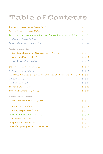## Table of Contents

| Brennend Defense - Shayne Morgan Phillips                                  | page 1  |
|----------------------------------------------------------------------------|---------|
| Chasing Changes - Dominic Walton                                           | page 3  |
| Discovering Bewilderness-lite at the Grand Canyon Estates - Judith Bullock | page 4  |
| The Garage - Veronica Hartman                                              | page 11 |
| Goodbye Silhouettes - David P. Garvey                                      | page 17 |
| Contest winners - fall                                                     |         |
| 1st - Bal du Personnalite Mondaine - logan Obermeyer                       | page 24 |
| 2nd - Small Girl Nearly - Carly Davis                                      | page 25 |
| 3rd - Bones - Hayley Jacobson                                              | page 26 |
| Jack Frost's Lament - Anneffe Wright                                       | page 28 |
| Killing Me - Nicole Holloway                                               | page 29 |
| The Minute Hand Pokes You in the Eye While You Check the Time - Bobby Bolf | page 32 |
| A New Man - Cole Moviarty                                                  | page 34 |
| The Sari - Sue Maresch                                                     | page 51 |
| Shattered Glass - Rija Khan                                                | page 53 |
| Standing Sycamore - Timothy Nelson                                         | page 54 |
| Contest winner - winter                                                    |         |
| 1st - Then She Burned - Jaelyn Williams                                    | page 55 |
| The Stare - Brendan McRae                                                  | page 56 |
| The Story Keeper - Anneffe Wright                                          | page 57 |
| Stuck in Terminal - 7 David P. Garvey                                      | page 59 |
| The Traveler - Salli Sullins                                               | page 61 |
| Wing Whistle - Elyse Jennings                                              | page 62 |
| What If I Open my Mouth - Nelida Ramirez                                   | page 63 |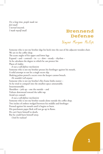*For a long time, people made me feel small. I turned inwards. I made myself small.*

 Brennend Defense

1

Someone who is not my brother digs his heels into the seat of the adjacent wooden chair. We are in the coffee shop. The acute angles of his upper and lower legs Expand – and – contract – in – a – slow – steady – rhythm – As he calculates the degree to which he can protect his Places of vitality. *It was a self-defense mechanism* Someone who is not my brother presses his forefinger against his mouth, A solid attempt to not let a single secret slip. Shaking palms protect a secret even the keeper cannot breach. *He wouldn't tell anyone* Someone who is not my brother's flex frame limbs stutter – As he tried to compact into the smallest space amountable. Insurmountable. Shoulders – jerk up – one the outside – and Vulture downward toward the table top. Avoid eye contact. *It was a self-defense mechanism* Someone who is not my brother stands alone outside the coffee shop. Two inches of embers wedged between his middle and forefinger Pressed against his mouth until it begins to burn. His parchment paper flesh will not go up in flame. He can't burn himself to death, Shayne Morgan Phillips

But he could burn himself away.

*Until he realized*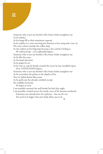Someone who is not my brother's flex frame limbs straighten out As he inhales As his lungs fill to their maximum capacity As he exhales in a tone wavering lost between a love song and a war cry His voice echoes outside the coffee shop As the embers in his fingertips become a fire and he's feeling it. *He embraced big – even unfounded bigness* Someone who is not my brother's flex frame limbs straighten out As he lifts his arms As his head tilts back As he gulps for air As he tries to cup his hands around the secret he has stumbled upon. *Even UNFOUNDED bigness.* Someone who is not my brother's flex frame limbs straighten out As he surrenders his palms to the depths of his Not yet faded denim blue jeans As he pulls out the already crinkled receipt He scribbles furiously *He began to write* I am possible tattooed the wall beside his bed that night I am possible crawled across the inside cover of his favorite notebook. *Sometimes you already have the explosion – but not the size. You need to be bigger than your body allows you to be.*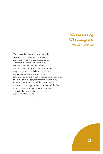#### Chasing Changes Dominic Walton

3

The marks she has on her arm betray her beauty. Their label, unfair, a sinner, the causality not of a man's failed duty. The thrill she chases, first a simmer, her very own hell, now the inferno. A trapped woman by love, by fear - paralyzed magic, suspended she believes a spell casts the sadness endless inside her - a tear temporary to her eye. The baptism and she starts anew. She's endured enough, this marks her awakening. Bloodied, but unbowed, all the poison letted, the prison breaking that scraped at her and the first steps the hardest to take, almost a stumble, she feels like herself, like herself, yes even if only for a while.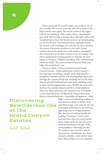Even a postcard of Grand Canyon can sweep us out of the everyday, fill us with yearning, and call us back to the high country once again. But recent events in the region had left me doubting. Only weeks earlier, a lone female gray wolf, still wearing remnants of an old radio collar, had wandered down from the Rockies and set up housekeeping on the North Rim. Environmentalists cautiously hailed her arrival as the harbinger of a new day for the ecosystem, the return of keystone predators to the wild. School teachers shared the good news with students, preempted the Common Core to share current events in ecology, and threw spontaneous naming parties to welcome the new lupine to Arizona. Children and adults alike celebrated the resiliency of life. The screen writers of Jurassic Park were right: life would find a way.

I have to admit, I'd been looking around Grand Canyon Estates—failed subdivision ceded to nature for some sign of resiliency myself. And I had found it: a pronghorn antelope and her two yearling offspring passed through the creosote brush just yesterday but not for long. Mutant pit bull Fishhead had made loud rumbling noises at them and harangued them away. Muffin the mini-mare watched the antelope depart and blew a loud raspberry their way. Bad non-horses, she seemed to say. Overhead, a raven mimicked her call flawlessly. Always there were flocks of female bluebirds—ostensibly of happiness—their

Discovering Bewildernes-lite at the Grand Canyon Estates

Judith Bullock

4

flight a series of undulating scallops as they fed from shrub to shrub. Fortynine black range cows and one tan one rearranged themselves in the distance, appearing only to change positions like chess pieces without benefit of walking. Coconino County and I had had more than one conversation about range cattle, by way of a series of emails and letters, the gist of the correspondence informing me that if I could not put up with cattle on my property, I should put up a fence instead, probably a solar electric fence from Home Depot, not too expensive.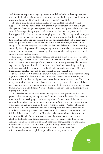Still, I couldn't help wondering why the county sided with the cattle company on why a one ton bull and his wives should be roaming our subdivision, given that it has been zoned rural residential for "family living and pursuits" since 1981.

The cattle kings had been running cattle on this land for a hundred years, I supposed, reckoning after all that a few grumbling homesteaders were not going to change that. Open range, they repeated like a mantra when I protested the unfairness of it all. Free range. Surely anyone could understand that, meaning even me. As if I had suggested that Jesus was stupid or hanging was cruel. Open range subdivision just made no sense to me; I had trouble getting my mind around it. But the problem was long-standing and severe: our transient, bovine neighbors had rubbed to death nearly every juniper and pinon for miles, nobody had paid any attention, and it had been going on for decades. Maybe that was the problem: people have a hard time noticing essentially invisible processes like overgrazing, mostly because the transformation is so slow and subtle. Now only the gnawed, golden grass remained, along with sage brush and a few other inedible plants.

Like giant locusts, the cattle have reduced the juniper-pinon biome to open plain. Only the fringes of Highway 64, protected from grazing, still host native species: cliff roses, correopsis, and silver sage. Or maybe the plants are only a re-veg. The highway department might have installed them for the benefit of tourists rushing headlong on their two-way collision course to get to the Grand Canyon before sunset. After all, three million people a year visit the canyon each to enjoy the solitude.

Situated between Williams and Tusayan, Grand Canyon Estates is blessed with long sightlines, views of Red Butte and the San Francisco Peaks, and four seasons, but it has lost its full complement of predators: wolves, bears, and mountain lions. This is not to say that their niches are empty. Ranchers here recently boasted that they had shot, poisoned, or trapped six hundred coyotes just west of Highway 64, right across the road from us. Coyote is a trickster in Navajo folklore around here, and the karmic payback is going to be killer.

The idea that wilderness areas are no longer places of refuge for wildlife is not a popular idea, particularly among tourists. More prevalent is the notion that parks are time capsules, preserving a piece of what, say, Grand Canyon looked like hundreds or even thousands of years ago. This view is not new: Until surprisingly recent times, white explorers had never been to the top of Vishnu Temple or Wotan's Throne in the canyon. Since so little was known about these places, and they appeared to be so isolated, scientists speculated that ancient animals—maybe even dinosaurs—still inhabited these remote sanctuaries. Nowadays, when every school child can scour the globe on Google Earth, those early scouts might seem naive. In truth, when climbers did finally ascend these formations, they were dismayed to discover that cattle, horses, and deer had arrived long before white men, grazing over the heights for years on well-worn, if cryptic, trails. (When hiking the canyon, it's easy to fantasize that you are the first person ever to visit a certain place, but suffice to say that native people have probably been everywhere in the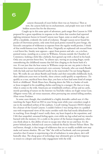canyon thousands of years before there was an America.) Then as now, the canyon held out its enchantment, and people were sure it held hidden secrets free for the discovery.

Caught up in this same spirit of adventure, park ranger Bert Lauzon in 1938 prepared for a great expedition in response to the claim that travelers had reported sighting miniature horses in Grand Canyon near Supai, some as small as dogs, cut off by a landslide, evidently the work of evolution. Though Lauzon never found his pocket of Darwinian ponies, only some feral pack ponies stunted by poor forage, the fairytale conception of wilderness as separate from the regular world persists. I think of that world-famous icon Smoky the Bear. Originally an orphaned cub rescued from a real forest fire, Smoky now appears—apart from posters and ads—as a six-foot, painted statue, standing on a corner in Williams, Arizona outside the Chamber of Commerce, looking a little like a fatherly, beer-gutted cop with a shovel in his hand. Only you can prevent forest fires," he almost says, waving an accusing finger, surely remembering the childhood trauma that left him clinging to the burnt bark of a tree. It's not just that the bear statue in Williams creeps me out: my point is that we Americans love nature caricaturized, even cartoony. Seriously, who can watch Bambi with the kids and not find himself totally in the waterworks? I'm not being flippant here. We really do care about Bambi and Smoky and their miserable childhoods; heck, their adolescent years were so horrific, these critters could qualify as superheroes. (To qualify as a true, mythical hero these days, you have to have had some kind of unique birth or childhood. Think Moses here, floating down the Nile in a basket of reeds or Jesus wrapped in his swaddling clothes and lying in a manger.) Be that as it may, when it comes to the wild, Americans are windshield cowboys, all hat and no cattle, mostly partaking of nature on the Internet via YouTube videos; see Eagle versus Goat, Alligator versus Yak, ad versus nauseum, often portraying one animal killing another, Alien versus Predator.

In some cases though, that windshield is a highly desirable catbird seat; it's like watching the Super Bowl on HD in your living room while your coworkers tough it out in the nosebleed section of the stadium. I recall visiting Tusayan's IMAX theater for a feature of the Grand Canyon. I couldn't believe I was sitting there in a padded seat with wraparound views of the main corridor trails that had nearly dehydrated me in reaching. Even though I wasn't really there, my heart leaped at the exposition, and I felt that unspoiled, untamed feeling again, even while my legs ached and my muscles burned with the memory. It's a credit to the power of the human imagination, when you think about it, this ability of ours to escape into what we see and hear. It's the power behind porn, behind rock concerts, behind the Rocky Horror Picture Show. The real horror, though, is that images of wilderness that are so readily available now may make real nature obsolete. We can "like" the wild on Facebook, and even persuade ourselves that if nature is experiencing a bit of turbulence in some places, she's still basically okay. The cheap grace of technology may ultimately give us little impetus to return to a deeper and more risky engagement with the wild.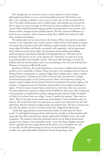Even though they are necessary, nature reserves present us with a serious philosophical problem: we are so environmentally provincial. The Earth is one place. Our attempts to divide it, even to save it, show that we do not really believe this. If we hold a dichotomous view in which plants and animals can be preserved like so many fur coats in storage, we show that we know nothing of the Earth as a system. Birds and herd animals migrate, global warming shifts ocean currents, and human activity changes ancient rainfall patterns. We have reduced wilderness to a kind of town commons, where Americans keep their wildlife safe within the fold from strangers and dangers.

We homesteaders are no wiser, here in the Estates. When I moved from southern Arizona to the mountains near Grand Canyon, I believed that I had chosen to merge my human life with that of the wild. Nothing could be further from the truth. Our rescue dogs kill rabbits and lizards, our quads crush vegetation, and our generators belch exhaust into the frosty night. Our pooping and pounding and building and burning have only further denuded and degraded the area. We don't live in harmony with nature; we live at the expense of it. And there are more of us every year, homesteaders, hurrying like tourists, who hurry like lemmings, if not by the millions than by the thousands, each of us succumbing to the call, and nobody hears Thoreau or Cousteau or Black Elk speak.

Speaking of Natives, the nearby population is not nearly as allied with sustainable practices as we would like to believe. Some years ago I was teaching a series of texts on Navajo Nation environment to a group of high school students there, when a student posed the question: If things were so bad on Navajo land, just who was in charge of environmental quality on the Nation anyway? After a bit of Internet surfing, we found a contact number for the Navajo Nation Environmental Protection Agency. On impulse, I whipped out my LG TracFone and punched in the number, praying for a signal. A Native woman named Tanya answered in a tired voice. She was a secretary. No, there hadn't been anyone in charge of the NNEPA for three years. Was I interested in the position? I considered the uranium tailings buried under six inches of asphalt in Tuba City an hour from our village. I wasn't. I polled the students. There were no takers. Who in his right mind would want the headaches? Tanya thanked us for our interest. She would write down our questions on a post-it note and stick it to the wall behind her desk for whomever might assume-the-position later. The layer of post-its on the wall, she added, was over two inches thick now. I flipped the phone shut.

"Looks like opportunities in environmental studies are wide open for Native youth," I said brightly, knowing all the while that few members of their families held wage jobs, that those who did were mostly employed by Peabody Coal or the cattle companies. The students themselves subsisted mainly on the federal school lunch program, hot Cheetos, and commodity foods—yes to the sharp cheddar commod cheese, arguably the best-tasting cheese on the planet; no to the gallon size cans of tuna fish, the fish taboo having its roots in an ancient bad-fish-eating incident that reportedly killed hundreds of Navajo living along a lake.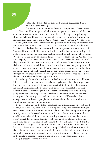Nowadays Navajo fed the tuna to their sheep dogs, since there are no commodities for dogs.

Our relationship to nature has become schizophrenic. Witness recent FOX news film footage, in which a news chopper hovers overhead while news crews race down an urban roadway to capture images of a rogue bear galloping through a field near Phoenix. We watch and celebrate: Yep, they're still around, we sigh. It's like a quick trip to the IMAX; it's Alien versus News Crew. We "like" it on Facebook, even as the park service loads up a powerful tranquilizer gun, darts the bear into insensible immobility and spirits it away in a truck to an undisclosed location. Let's face it: nobody embraces wilderness that would tip over a trash can or bite a kid. That would be too wild. What we want is wilderness-lite: Bambi, not a rutting buck on a playground; Smoky, not a real bear crashing through some housewife's hydrangeas. We've come to see nature in terms of deficit, of where it doesn't belong. We don't want it in the park, except maybe for ducks or squirrels, which we will relocate or kill if they annoy us. We don't want it in our yards. Perhaps even Indians don't want it on their reservations-lite, which I say because I saw only one deer, one porcupine (dead along the road) and one antelope in ten years on the rez, even though I explored the mountains extensively on horseback daily. I don't think homesteaders want regularstrength wildlife around either, even though we would say we do if asked, and even though this is where wildlife is supposed to live.

Even though Grand Canyon Estates has few human inhabitants, as a wild place it has been stripped and vanquished, its fauna largely reduced to Black Angus, blue birds, red ants, and ravens. This pattern repeats itself in flora. Since the advent of ranching here, juniper and pinon have been displaced by a handful of invasive, nonnative species. Everything that can be eaten—including a concrete building pad poured by neighboring steaders—has been eaten by the cattle, not completely to the point of moonscape, as is sadly the case on much of Navajo land, but enough to create this vast, open plain of scrub and clump, fit almost exclusively for rabbit, raven, range cow and coyote.

I still see sights here in the Estates that thrill and inspire me. A pair of red-tailed hawks, new to the area, hunt overhead, folding their wings and precision diving to snatch a snake from the mouth of a mouse hole. A great blue heron pumps its wings steadily toward the banks of the earthen cattle tank. Maybe the new nature-lite is exactly what makes wilderness more welcoming to people these days. For instance, I don't expect that my granddaughter will be carried off by a ferocious lion; the Latin root "fer" in "ferocious" literally means that it could "carry" you off! Neither do I lay awake at night listening for the sounds of a wolf tearing Muffin apart in her corral. Because we have our tools of taming. We hack the rabbit brush out of the trail that leads to the greenhouses. We drag the new lane with a chunk of iron train rail to tear out the rocks and smooth the way for our trucks. Grand Canyon is the collateral damage of ranching and us. It is lovely, pastoral even, but it is damaged, probably beyond recovery.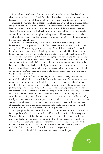I walked into the Chevron Station at the junction in Valle the other day, where visitors were buying their National Parks Pass. I saw them eying my crumpled cowboy hat, canvas coat, and sturdy boots, and I saw their envy. I was Bambi, I was Smoky. Tourists see the homesteaders as some breed of feral children, not quite civilized as they are, possibly not even as clean. Some of their observations could be accurate. We've become brothers of the ox—or range cow, as it were. And those long sightlines we cherish also mean life in the fish bowl for us, as our lives and homes become objects of study for anyone curious enough to pick up a pair of binoculars or stare out the window of a tour plane. In other words, in our frenzy to objectify wilderness, we have become the objects of study.

And we are worthy of study, because we don't study ourselves enough, and homesteaders can be queer ducks, right from the cradle. When I was a child, we used to play farm. We made tiny paddocks of twigs. We tied threads to insects, carefully freeing them later, sans the occasional leg that we couldn't help. Grasshoppers were horses, because they were prettier than the crickets, who were obviously Angus. We were masters of our universes. I think we're playing farm here on the Estates. The cattle are elk, and the miniature horses are the deer. The dogs are wolves, and the corn stalks are Ponderosa. In our make-believe world, the substitutions are welcome. The cattle hold the scrublands in check. Our Lilliputian horses browse away fuel and protect us from wildfires. Dogs pressure rodent populations, enabling our corn to grow tall and strong and useful. Corn becomes winter fodder for the horses, and we are the wonderfilled beneficiaries of it all.

Tourists can also be filled with wonder, to wit: some time back, local ranchers reported that a bull elk had jumped the fence and moved into a feedlot with nineteen range cows. No doubt it was the ideal situation for the elk. As a legendary jumper, the elk could come and go from the corral at will, though he seldom did, feeding and philandering as he pleased. For a while, locals found the arrangement a fine source of amusement, in a place where not much ever happened. But as time went on, proprietors of Valle businesses—businesses that relied on tourism—began to complain. For example, the amazing show of "unnatural acts" was within plain view of Bedrock City, a unique theme park of sorts where parents could pitch their tents and let their children get up close and personal with giant fiberglass dinosaurs as seen in the cartoon city of Bedrock. I can only imagine the questions kids would think up as they watched Bamm-Bamm the Elkosaurus cheerfully boinking a lonely cow.

Tour pamphlets boasted that Bedrock City was "guaranteed to bring a smile to your face, regardless of whether you are still a kid", and it did, but for all the wrong reasons. Similarly, the owners of the Planes of Fame Air Museum—dedicated to collecting, restoring, displaying, and preserving aircraft—found no amusement in the elk and cow exhibit, nor upon the educational benefits the unusual relationship conferred on the youth. Likewise, the Grand Canyon Railway, which made its first journey to the South Rim in 1901, still faithfully transported eager tourists to Grand Canyon National Park. But before tourists arrived at the park,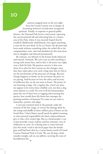cameras snapped away at the new sight. Soon the Grand Canyon was in danger of becoming America's second-most recognized spectacle. Finally, in response to general public distress, the National Park Service intervened, capturing the unconventional elk and relocating him to a remote area of the Park, where it was sincerely hoped that he would be libidinously rehabilitated, once again assuming a taste for his own kind. As far as I know, the decision had been made without consulting either the exiled elk or the companionless cows, who had doubtless by this time been sent to slaughter and silenced permanently.

By contrast, our lifestyle in the Estates looks balanced and natural. Seriously. We can't even see that anything is wrong with nature here, and in fact, it all seems very right, even a little bit holy. My greatest concern is that even those of us who live here cannot see the changes, since they have taken place over such a long time that we fail to see the mechanisms of the processes of change. Because change happens so slowly, we do not know the price we are paying. And because we love the safety and security of wilderness-lite, we do not want to know. The power of not knowing is huge. On a regular day, a beef cow does not appear to be worse than a buffalo cow, nor does a dog seem inferior to a wolf. Yet even if all the homesteaders spent the rest of their lives re-vegging and restoring lost species, how would these life forms fare amongst the growing numbers of humans? It's easier on our souls to rationalize, permit, and adapt.

I can't put uranium back in the ground, undo the tyranny of the free range, or reverse the damage done by the tramp and shuffle of three million pairs of boots on the South Rim. I don't blame myself much for global warming or take personal responsibility for biotic impoverishment give or take a few cricket legs. But as a homesteader, I can at least provide a more realistic and less romantic view of wilderness in crisis. It's a fitting time to come forward: Just this week I read in the local paper that the female gray wolf had been shot by a coyote hunter north of Grand Canyon National Park in Utah. We can all sleep a little sounder tonight, safe on our pillows, savoring the taste of bewilderness-lite.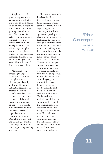Elephants placidly graze in dappled shade, contentedly caked with mud. Safe in their stature and numbers, they pay no mind to the pride of lions panting beneath an acacia tree. Gargantuan, fat zebras gambol alongside diminutive, spindlylegged gazelles. Kongsized gorillas menace rhinos large enough to trample the elephants underfoot, and enormous raindrops dig craters that could trap a tiger. The cries of birds the size of jumbo jets pierce the air.

Merging at evenly spaced right angles, silty waterways arrow through the plain. They are populated by wallowing hippos and half-submerged, snaggletoothed crocodiles. Giraffes spread stilt legs to lower their mouths to the water, all the while keeping a weather eye on the covetous reptiles. Ants the size of boulders hesitate at the water's edge, then turn and choose another route. Over all the action waft the tang of gasoline, the funk of aged motor oil, and the ghost of grass long since cut.

That was my savannah. It existed half in my imagination, half in my father's garage, where I spent many rainy summer days sitting on the concrete just inside the open doors, playing with plastic safari animals. Two brothers and a sister were enough to drive me out of the house, but not enough to make me willing to sit in the rain. I didn't dislike my family, but six people jammed into a small house can be a lot to take. The garage's wide-open double doors meant a dry spot to sit on, next to the wet ground outside, away from the madding crowd. During downpours, the crumbling edges and seams of the concrete foundation became riverbanks and piranhafilled canals cloudy with savannah runoff. Toy beasts breathed, walked, roared. It was an annoyance that not all the safari animals were accurately scaled, but imagination surmounted that. The coolness of the concrete belied the savannah's heat, and the Indiana air certainly was not dry, but it didn't matter. I was a world away, there in that garage.

#### The Garage Veronica Hartman

11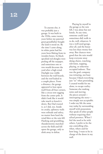To anyone else, it was probably just a garage. It was built in the 1920s, some twenty years before my paternal great-grandfather bought the land it stood on. By the time I came along, its white paint had for years been flaking from its wooden bones. Its blackspeckled red shingles were peeling off the tarpaper, and sometimes one or two would decorate the yard after a high wind. Daylight was visible between the wall boards, and the roof leaked in a couple places. From a distance, the garage appeared to lean upon itself from all four corners, like a circus tent sagging from the center pole. It didn't look like it would take much to knock it down. But Dad trusted it, so I did, too. Inside its creaky, splintery walls were solitude and safety, no matter how hard the wind blew or the rain fell. Flashing and grumbling, thunderstorms marched across the field and fell upon the garage, only to slink away in defeat.

Playing by myself in the garage as the rain fell, I was alone but not lonely. At any time, someone could (and sometimes did) walk in to do, well, whatever. It was a well-used garage, after all, and the house was less than twenty feet away. But chances were good that the rain would keep everyone away doing chores, watching television, napping, playing, or otherwise occupied indoors. That was the goal; company was irritating, not least because I liked everything just "so" when pretending. I created worlds for me alone, to escape reality. Someone else making noise and moving the pieces around interrupting the story was simply not acceptable. I order my life the same way today by surrounding myself with possessions that speak of other people without requiring their actual presence. When I feel the need to be with others, I prefer to be the one controlling who, when, where and for how long. I want to be in charge of the doors in my wall.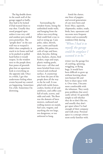The big double doors in the south wall of the garage sagged so badly, they had to be locked if Dad wanted them to stay shut. Usually they stood propped open unless it was very cold and outdoor pets needed extra protection. The "people door" in the east wall was so warped it didn't shut completely; it stuck in its frame and had to be pushed or pulled hard before it would reopen. In the window next to the people door, four panes of greenish glass lent an aquarium look to everything on the opposite side. Once in a while, I get that underwater feeling when events beyond my control are happening. Sometimes I'm a fish. Sometimes I'm drowning.

Surrounding the window frame, lining the unfinished inside walls, and hanging from the rafters was everything Dad could find a way to nail or string up. Cane poles, rakes, shovels, saws, canoe and kayak paddles, life preservers, coils of rope and hose, sleds, bicycles, fishing nets, buckets, chains, bird feeders, traps and tarps, plastic wading pools, lawn toys—all that and more bristled from every vertical and overhead surface. A countertop ran from the jam of the people door all the way to the far wall. It was piled with tackle boxes, coolers, bottles of oil and antifreeze, and coffee cans full of nails, screws, and odds and ends. The floor was the domain of lawn mowers, outboard and trolling motors on stands, fuel cans, wagons, and anything else too large, too dangerous, or too awkward to hang.

Amid the clutter, one litter of puppies and several generations of cats were born and lived. Mice, squirrels, chipmunks, snakes, toads, birds, bats, opossums and raccoons were frequent visitors and occasionally residents.Only during

*"When I had it to myself, the garage could be anyplace I wanted it to be."*

winter was the garage free of crawling, spinning, wriggling, or flying bugs. It would have been difficult to grow up without learning about non-human life and how to share space with it. Over time, I became more comfortable with the inhuman. They rarely pose problems that aren't easily solved. It's generally simple to tell whether they do or don't like me, and usually they don't get upset when I've had enough of their company and walk away. Personal space is a concept critters seem eerily familiar with.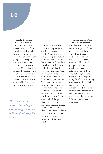Inside the garage, I was surrounded by tools, toys, and time. A glance in any direction found something wellworn, well-loved, or both. Not an inch of that garage was unexplored, even the rafters where raccoons occasionally nested. When I had it to myself, the garage could be anyplace I wanted it to be. It was familiar. It was comfortable. It was dependable. It was home. In a way, it was also me.

*matured and began envisioning the future instead of altering the present."* 

Physical space was as much at a premium outside the garage as inside. Along the east wall, Mom grew rhubarb, and a rusty wheelbarrow leaned against the wall on a Volkswagen Beetle-sized patio that faded at the edges into the grass. Along the west wall, Dad stored a canoe and kayaks on handmade wooden racks. Trash cans and plastic recycling barrels squatted on the north side. The double doors took up about two thirds of the south side. It was the only outer wall of the garage that wasn't used for anything, because it faced passing traffic. Perhaps that's how I began to learn to present an acceptable front to the world, even when I'm a total mess inside. *"My imagination* buter wall of the garage Without that retreat...<br>"*My imagination* that wasn't used for madness.

The summer of 1985, I left home at eighteen for what would become a twenty-one-year military career. During those years, I went places, met people, and had experiences I'd never dreamed of back in that garage. I had to step outside my insulated interior on a daily basis. As a buffer against the outside world, I kept as many familiar, comforting objects around as possible, transfer after transfer. I wanted—needed—to be surrounded by them when the door closed behind me at the end of each day.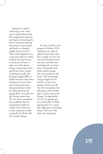Exposure to reality and living in the "now" weren't particularly kind. My imagination matured and began envisioning the future instead of altering the present. It got harder and harder to imagine simply for the joy of it. That's what happens to us as the years pile on: wishes really do become horses, we find out we have to take care of the damn things to keep them alive, and all our time is spent mucking out stalls and keeping troughs filled. It finally becomes clear what the geezers meant when they reminisced about the good old days while the kids played on the garage floor. Certainly the girl sitting inches from the rain never considered the possibility that her imagination might be traded in for memories, or that memories would eventually be all she had left of some things.

An oak tree fell on the garage in October 1992, reducing it to a pile of splinters and rusty nails. For a couple of years, the concrete foundation was the only reminder that anything had ever been there. Eventually Dad built another garage, this one attached to the house. The new garage is big enough for two vehicles, at least two mowers, boats, and all the other miscellany the old garage used to hold, plus a scooter and newer things. It's dependable. It's safe. As garages go, it's comfortable. A child playing there on a rainy day might grow up feeling about it the way I felt about the old garage.

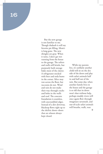But the new garage is not familiar to me. Though rhubarb is still my favorite pie filling, Mom's is long gone. The new shingles are gray. When it rains, I don't get wet running from the house to the garage. The rafters and walls still bristle, but purposely built storage hides most of the clutter. A refrigerator stocked with beer and soda hums in the corner. Mice may run across the floor, but raccoons do not. Wind and rain do not make their way through cracks and holes in the walls and roof. The concrete foundation is seamless, with uncrumbled edges. Instead of a dirt driveway, blacktop flows right up to the electric doors–doors that are almost always kept closed.

While my parents live, it's unlikely another child will sit on the dry side of the doors and play with safari animals half in and half out of the rain. But some day, when another family lives in the house and the garage is so old that its doors won't shut without help, perhaps muddy rivers will once again flow through imaginary savannah, and out-of-scale safari animals will breathe, walk, roar.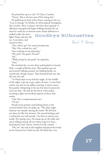He picked her up in a red, '95 Chevy Cavalier.

"Damn. This is the last time I'll be doing this."

He pulled up in front of her house, staying in the car. "Love is Strange" by Mickey & Sylvia played throughout the Cavalier. After a minute, the front door opened. A silhouette emerged and began walking towards the car. Soon he could see its features more clearly defined as it

walked under the street light's beam and into the car. It sat down, and turned to him.

"Hey, what's up?" her usual introduction.

"Hey. Not a whole lot, you?"

"Just working on my drawings."

"Oh yeah? Any good, Picasso?"

"Eh."

"Walk around in the park?" he asked her. "Sure."

He switched the car into drive and headed to Lincoln Park, a couple of blocks away. They parked, got out and started walking around, not holding hands, an unwelcome change of pace. That bummed him out, but this was the end.

"So Hank slept in my bed last night. In the middle of the night, I got up to get a glass of water. I came back and he was just on my pillow, purring. I tried to move him gently, whispering in his ear, but then he pounced. Gave me this," she slid up the sleeve of her jacket, revealing a light red-streaked imprint of three claw marks.

"Oof. He's a temperamental one."

"I'll say."

Hands in his pockets and looking down at the concrete before him, he spoke up. "The other night Samson was outside, during the storm. We left him out there for like five minutes. He started barking and I realized he was still outside. I let him in and he runs inside. He's going crazy. He jumps up on the table and starts rolling around, all over those maps I've been drawing for work. Hours' worth of work, ruined…"

"Oh, no!" she said as she laughed and placed her hand on his forearm for a brief second. He liked that a lot.

David P. Garvey

Goodbye Silhouettes

#### 17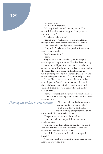"Damn dogs…"

"How is work anyway?"

"It's okay. I really don't like it any more. It's too stressful. I need an exit strategy, so I can get work somewhere else."

"He's lucky to have you."

"Yeah, I know. Architecture is too much for me though. I don't even have an interest in it. Hate it."

"Well, what else would you do?" she asked.

He sighed. "Maybe something with animals, food services, radio station."

"You'll figure it out."

"Yeah."

They kept walking, very slowly without saying anything for a couple minutes. They had been talking, so that they could put off the inevitable, but the time came. He stopped walking, but she kept on, not noticing the break. He gently closed his hand around her wrist, stopping her. She turned around with a soft and concerned expression on her face, mouth slightly open.

"Listen," he started, a cyclist nearly ran into them as he zipped by. "Ass," he muttered as he followed the cyclist's rude path with his eyes. He continued, "Look, I think it's obvious that we haven't exactly been all that…"

"Yeah…" she said looking down somewhat ashamed.

"I feel like we're growing apart. It's not really working anymore, is it?"

*Nothing else existed in that moment.* 

"I know. I obviously didn't want it to come to this, but you're right."

Not much else was said on the matter, nothing of significance. It was

understood. They resumed walking.

"Do you mind if I smoke?" he asked her.

"No, not at all," she responded, unaware of his newfound vice.

"Did you watch True Blood on Sunday?" he asked her, not wanting there to be awkward silence, yet cherishing any interaction with her.

"Yep. I don't know what the hell is wrong with Sookie."

"I feel like she always makes the wrong decision and screws up everyone's lives."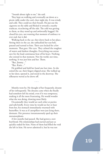"Sounds about right to me," she said.

They kept on walking and eventually sat down at a picnic table under the cool, clear night sky. It was windy and cold. They could see their breath. He put out the cigarette on the table and flicked it towards a nearby trashcan, ricocheting off the side. The cold was getting to them, so they stood up and awkwardly hugged. He closed his eyes, not wanting that moment of embrace to ever end, but it did.

Walking back to the car, they drove back to her place. Sitting there in the car, she unbuckled her seat belt, paused and turned to him. Their eyes locked for a few moments. That gaze. Her eyes. They calmed the roughest of waters and darkest thoughts. Everything was serene save for the loud continuous beat of his heart. Nothing else existed in that moment. Not the world, not time, nothing. It was just him and her. Them.

"Bye, Jimmy…"

"Bye, Katie…"

He grabbed and held her hand one last time. As she exited the car, their fingers slipped away. She walked up to her door, opened it, and stood in the doorway. The silhouette waved as he drove off.

Months went by. He thought of her frequently, dreamt of her infrequently. The dreams came when she finally had somehow left his mind, even if it was temporary, making it all the more frustrating. He would wonder what she was doing, drawing most likely.

\* \* \*

Occasionally they would see each other at parties and talk briefly. Every time he would see her or hear from her, his stomach immediately swarmed with butterflies. It was as if caterpillars were just lying there, dormant. Her presence instantaneously sped up their metamorphosis.

A few months had passed. She had gotten a new boyfriend. His relationships had started and just as quickly ended for him. None of them had filled the void she left in him. He never admitted it, but he was not

#### 19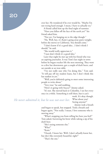over her. He wondered if he ever would be. "Maybe I'm not trying hard enough. I mean, I have to actually try."

A friend called him up the final night of summer.

"Have you fallen off the face of the earth yet?" his friend asked him.

"Not yet. I'm hanging on to the edge though."

"Ha. Well, hey, it's Katie's going away party tonight, before she moves to California. You should come."

"I don't know if it's a good idea…I don't think I should," he said.

"She would really appreciate it."

"I just don't think it's a good idea."

Later that night he met up with his friend who was an aspiring journalist. It was Tom's last night in town before he began trucker life the next morning. They went to a dive bar downtown, got a couple of draft beers, and sat outside at an iron table.

"I'm not really sure why I'm doing this," Tom said. "It will pay off my student loans, but I don't think this has sunken in yet."

"Well, you're definitely going to meet some interesting people to write about."

"Very true," he said nodding.

"How's it going with Stacey?" Jimmy asked.

"It's not. She moved back to Columbia. I see her every once in a while. Something is still there, but it can't

work. It's okay though.

*He never admitted it, but he was not over her.* 

What about you?

Seeing anyone?"

Jimmy took a breath

and began to speak, but stopped. Took a breath and began again, "Not really. I mean, I love someone who is moving away."

"What's stopping you from telling her how you feel?" Tom asked, furrowing his brow while taking a sip of his draft beer.

"She's seeing someone else."

"Who?"

"Katie."

"Ooooh. I know her. Well, I don't actually know her, but she's like extremely beautiful, right?"

"That's the one."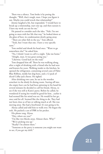There was a silence. Tom broke it by posing the thought, "Well, that's tough, man. I hope you figure it out. Maybe you could wreck that relationship?"

Jimmy laughed a bit, but responded, "I would have to break up a relationship, start one up, and then sustain it. I have my work cut out for me."

He paused to consider such the idea. "Nah. I'm not going to mess with her life that way," he looked down at the glass of beer, its condensation slowly going away.

"There are other fish in the sea," Tom offered.

"Yeah, but I want that one. I have a very specific taste."

Tom smiled and shook his head once. "Want to go somewhere else?" he asked him.

"No, I think I want to call it a night. Take me home."

"Alright, man. It was great seeing you."

"Likewise. Good luck on the road."

Tom dropped him off. There he was walking along, after a night of drinking with a friend who he had seen and known for years. Walking inside to the kitchen, he opened the refrigerator, containing several cans of Pabst Blue Ribbon, moldy hot dog buns, and a 12 pack of sliced Colby jack cheese. He sighed.

After drinking two cans, he sat in the wooden armchair in the dimly lit dining room. Staring off into the empty beer can he had been spinning in his hand for several minutes he decided to call his friend, Alyssa, to see if she was still at Katie's party. Before he called, he wondered if seeing her would be good for him…earlier it had seemed like his mind was set. He would let her go, once and for all. Seemed like the thing to do. They had not been close as of late or talking much at all. She was moving away. She had a boyfriend. It's not going to be.

Alyssa called and told him to walk over. He began the trek. He packed a can of PBR in his pocket.

His phone rang. Alyssa.

"Hey, where are you?"

"I'm like two blocks away. Almost there. Why?"

"We're picking you up."

"Really? I'm almost there."

"Someone at the party is someone you might not want to see, if you get my drift."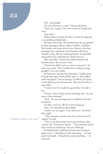"Oh…well alright."

"Do you still want to come?" Alyssa asked him.

"Yeah, sure. I guess. I'm at the corner of Leland and Vine."

"Stay there."

Within thirty seconds, the silver van that he expected to see pulled up beside him.

His heart beat faster. He climbed into the car, greeted its three passengers Alyssa, Alyssa's brother, and Katie. Her brother was in the driver's seat, Alyssa in the front passenger seat, and Katie in the backseat. His heart seemed to stop. She was radiating beauty. As beautiful and perfect as he remembered, maybe more so.

They said hello. A brief and awkward silence fell between them. She turned to him.

"I heard you didn't want to come to my party," she said, teary-eyed, "but I couldn't leave without saying goodbye," her voice broke.

He had never seen her like this before. Visibly upset. It made him upset, but he didn't show it. They talked while she played "Love is Strange" by Mickey & Sylvia on her phone across the back seat. They moved closer to each other.

"I wasn't sure if it would be a good idea," he said to her.

"I know. I don't blame you for thinking that. Are you aware of the situation?"

"Yeah," she was moving away to California with her boyfriend.

"It's like a trial run. We'll see how things go."

"Sure," he said quietly and nodded.

"I had to see you again. I care about you. You know that, right?

"This is going to sound corny, but I want you to be happy," he said.

"You are my best friend. You know me better than anyone else. I loved you, Jimmy…" The second he heard those words, he looked up. His eyes welled up.

He looked down, shaking his head, then resting it against hers. "I should have said something…" he said under his breath. "I should have said something…" he repeated.

*"I didn't want it to end."*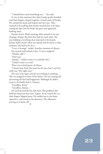"I should have said something too…" she said.

It was at that moment that their hands gently brushed and their fingers clasped together in both pairs of hands. He turned his head and looked into her eyes. They seemed to be pulling him slowly towards her as he kept eyeing her lips, but he broke the gaze and approach, looking away.

Former lovers. Both wanting what seemed to be out of grasp, despite the lock they had on each other. He was holding everything that mattered in his hands. Jimmy didn't know what was ahead, but he knew at that moment, she had to be in it.

"Love is Strange" ended. Another moment of silence.

He turned and looked at her, "I never stopped."

"Neither did I."

"Don't go."

"Jimmy…I didn't want it to end like this."

"I didn't want it to end."

There was a brief pause of silence.

"I know how hard this must be for you, but I can't be with you. Not right now."

His eyes were open, but he was looking at nothing. The car stopped in front of his house. He was staring off, processing all that had happened. Although he didn't want it, he finally had it. Closure.

"Goodbye, Katie"

"Goodbye, Jimmy…"

He moved towards the side door. She grabbed and held his hand one last time. Again. As he exited the car, their fingers slipped away. He walked up to the door, opened it, and stood in the doorway. The silhouette waving as it drove off.

23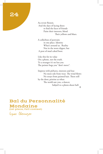Au revoir Renoir, And the days of lacing shoes to find the faces of friends Paint their interests, blend Their yellows and blues.

A collection of portraits in one place. Identity What's around us. Reality Not in the worn slipper, but A post of mud caked boot.

Like this for its value On a phone, not the truth. To a stranger it's no less you The painter begs you "don't move".

Impress with pictures, interests and lose No more sole from wear. The wind blows No strays from painted hair. There still by the door, pristine as when The world saw you, a dancer, Subject to a photo-shoot ball.

#### Bal du Personnalité Mondaine (1st place, fall contest)

Logan Obermeyer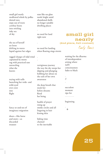small girl nearly swallowed whole by polkadotted tutu steps out of worn cowboy boots into swirling inky sea of sky

stars like sea glass nestle bright amid abandoned shells no longer suitable dwelling places

no need for land right now

.

.

. .

the sea of herself set loose drifting in waves liquid against her edges

no need for landing when floating sings sirenic

ragged charges of tidal wind captained by moon tug with practiced ease unraveling what she knows

toying with tulle launching her wide- and wild-eyed over crest into flight

fancy so-and-sos of imaginary migration

. .

shoes—like horse and snow—as discarded treasure

vertiginous journey the way the sky steeps her dipping and plunging bobbing her about on the rails of her own awareness

the deep breath that steals her before dreams flood her being

bauble of prayer rising up smoke circles and all lingering in hair kissing skin

biding time chained to the inevitable

Carly Davis waiting for the dharma of interdependent arising where (self)

(2nd place, fall contest)

small girl

nearly

consciousness fades to black

. // .

> succulent moment ripe for . . . . . . . .

beginning

.

#### 25 25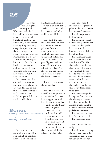The witch has a daughter. She's surprised. Witches usually don't have babies, they have cats or slugs or occasionally bundles of needles. She knows this, so she doesn't have anything for a baby, except for a pair of shoes she was using to bind a curse to a certain princess. But this time it is a baby.

The witch doesn't give birth to all of it. Her body hordes the hot and wet and red parts so she ends up giving birth to a little nest of bones. But she loves her Bone.

Bone never cries. She doesn't have a mouth or tongue or vocal chords to cry with. She has no skin to feel the cold or muscles to feel tired or stomach to feel hunger. All she has are little white bones.

#### Bones (3rd place, fall contest)

Hayley Jacobson

Bone runs and she sounds like a wind chime. Her feet fall on the floor like beads in a rain stick.

She leaps on chairs and does handstands on tables. She has no marrow and her bones are as hollow and light as a bird's.

Bone finds the baby shoes and the witch tells her they're for a cursed princess. Bone's never met a princess or left the witch's house. Bone goes to the witch's closet and finds a lot of shoes. The gold filigreed heels of a duke. The worn leather soles of a shepherd. The slippers of a bed ridden old woman. Her toes shudder in the fabric.

The witch summons the shoemaker.

Bone tries to contain herself. She wraps herself in the witch's fur cloak, hair wrapping around her ribs and tickling her tail bone. Her fingers rattle in gloves. She would have suffocated herself under scarves if she breathed. She spins in front of the witch.

The witch thinks Bone should wait in the bedroom while she talks to the shoemaker.

Bone can't hear the shoemaker. She presses a goblet to the bedroom door but she doesn't have ears.

The witch opens the bedroom door.

The shoemaker kneels beside a chair, blindfolded.

Bone sits slowly; the heavy coat muffles her bones so she sounds like a bag of marbles.

The shoemaker dives into the coat, breathing mouthfuls of fur. The shoemaker remarks that that young lady must be very thin that she's so hard to find in her own clothes. The shoemaker remarks that that was a compliment. The shoemaker remarks that thin is very fashionable these days—

The shoemaker pulls her leg out from the coat, thumb caught between her tibia and fibula. The shoemaker pulls back the blindfold and sees a skeleton pulled from the grave.

The shoemaker names her: Forgive me, Death. The shoemaker dies.

Bone knows who she really is.

The witch starts taking the shoemaker apart. Eyes can't see her daughter. A tongue can't name her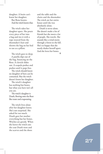daughter. A brain can't know her daughter. But Bone knows. And the witch knows that.

The witch takes her daughter apart. She pours every piece of her into a bag and ties it with a rope weaved from the shoemaker's hair and throws the bag on her bed to use as a pillow.

The witch goes to sleep.

A patella slips out of the bag, bouncing on the floor. A clavicle slides out. A scapula pushes and pushes until it pops free.

The witch should know no daughter of hers can be contained. But the witch doesn't know her daughter.

The witch's daughter has nothing but bones, but what you have isn't all you are.

The witch's daughter is Death, flowing onto the floor like water and evaporating.

The witch lives alone after her daughter leaves. She's not surprised. She asked for too much. Death gave her mother everything but her bones. Witches are greedy. When she leaves the witch eats the coat Death wore and the scarves and the shoes

and the table and the chairs and the shoemaker. The witch ate her entire house until she was absolutely alone. Death is never alone. She doesn't make a lot of friends but she meets a lot of people. She travels. She sounds like a wind storm through a forest in the fall. She's so happy that she nearly shakes herself apart. And she loves her bones.

27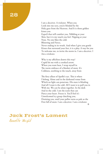I am a deceiver. A trickster. When you Look into my eyes, you're blinded by the Holy gaze from the Heavens. And It is those golden kisses you Expect that will comfort you. Nibbling at your Skin, but it is my touch you feel. Nipping at your Nose. No one likes the cold. Blistering and Fierce, Never ending in its wrath. And when I give you gentle Kisses that surround your feet, it is a ploy. A way for you To welcome me, to invite the storm in. I am a deceiver. I Am a trickster.

Why is my affection drawn this way? Cupid hit me with a crooked arrow. Where you want heat, I wrap myself in The warm embrace of a blanket of snow. It's Coldness, soothing to the touch, away from

The fiery allure of Apollo's eye. This is where I belong. Alone and in the darkened venue from Which no light can penetrate. His stare is blinding And all I want is the cold. All I want is to pull you in With me. We can be alone together. In the dark And in the cold. I am the icicle that can Pierce your heart. Freeze it. You'll feel it's Unwelcomed icy grasp clutching you, Draining you, until your pallor turns as pale as the First fall of snow. I am a deceiver. I am a trickster.

#### Jack Frost's Lament Annette Wright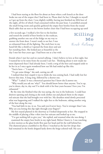I had been staring at the floor for about an hour when a soft knock at the door broke me out of the stupor that I had been in. Please don't be her, I thought to myself as I got up from the chair. I was slightly wobbly, having just finished my fifth beer of the night, all five of which I had consumed within the past hour. I scrambled around the small living room and quickly gathered the empty beer bottles from the round black table that sat next to the brown leather chair that I had been occupying up until

a few seconds ago. I walked a few feet to the kitchen and tossed the armful of beer bottles in the trashcan, grabbing another one out of the fridge on my way to answer the front door. I wasn't ready to see her; I was so exhausted from all the fighting. The sixth beer in my hand felt like a shield as I opened the front door and saw her standing there. She looked just as beautiful as the day I met her four years ago. I had been out at a bar with

Killing **Me** Nicole Holloway

friends when I met her and we started talking. I don't believe in love at first sight, but I wanted her to be mine from the second I saw her. Thinking about it now made me more depressed than I had already been. I took a swig of the beer and stepped aside to let her in as I once again wondered how our life had ended up like this.

"You're here—" I started.

"To get some things," she said, cutting me off.

I realized then how stupid it was to think she was coming back. I had really lost her forever this time. A long swig, followed by a shorter one.

"Why?" I asked. It was a rhetorical question but I knew she'd answer me.

"Why would you ask me 'why?!' You should know better than anyone. You're up, you're down, day in, day out! I've dealt with it for four years because I love you. I'm exhausted."

 By the time she finished what she was saying, she was in the bedroom. I could hear drawers opening and closing as she took clothes out and placed them in the empty red suitcase that she had brought over with her. My drunken mind slowly processed what was happening and I walked the eight feet to the bedroom, taking another swig of the beer along the way.

"You had faith in me, in us. You said you'd never leave. You're stronger than I am. Why are you letting this slip right through your fingers?"

My feet stayed planted in the doorway as I looked desperately at her. She stopped in the middle of placing a blue t-shirt into her suitcase and looked up at me.

"I've got nothing left to give you," she replied, and resumed what she was doing. I examined the empty beer bottle in my right hand. Before I knew it, I was watching in slow motion as the glass bottle flew past her head and hit the wall behind her. The shattered pieces crumbled to the floor; I watched as the last few drops that had remained in the bottle dripped lazily down the beige-colored wall. My eyes

## $2\,$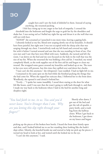caught hers and I saw the look of disbelief in them. Instead of saying anything, she resumed packing.

I felt fury rising up in me; anger at her lack of empathy. I crossed the threshold into the bedroom and fought the urge to grab her by the shoulders and shake her. I was seeing red as I balled my right fist up and thrust it at the wall that was still wet with beer.

"ADAM!" she screamed as I punched it one more time, leaving a gaping hole.

I absently looked at my fist, blood now seeping slowly out of my knuckles. It should have been painful, but right now I was too occupied with the sharp ache that was surging through my chest. I instinctively took my left hand and covered my right fist with it before I turned around and saw that she was standing in front of me. Our eyes met and I saw that hers were filled with tears. Suddenly, she turned and left the room. I sat down on the bed and my eyes focused on the hole in the wall that was the size of my fist. When she returned she was holding a first aid kit. I watched, my mind completely blank, as she took supplies out of the first aid kit and began to clean my wound. She wrapped some gauze around my knuckles and looked up at me. The tears in her eyes were still present, but this time they spilled over and down her cheeks.

"I just can't do this anymore," she whispered. I just nodded. I had no fight left in me. I remained in the same spot on the bed while she finished packing the things that she had come for. When she zipped her suitcase shut, I followed her to the front door. Wordlessly, she opened it and closed it behind her.

"Everly…" I spoke her name inaudibly. I stood there staring at the door for what felt like hours, until I was sure that she wasn't going to walk back through it, and then I made my way back to the bedroom where I laid in the bed for another long and sleepless night.

*"You had faith in me, in us. You said you'd never leave. You're stronger than I am. Why are you letting this slip right through your fingers?"*

Shortly after dawn, I got out of the bed and got the tub of spackle, a putty knife, and a trash bag from the hallway closet. When I got back to the bedroom, I got down on my knees and began

picking up the pieces of the broken beer bottle. I heard the front door faintly open and shut, and I looked behind me to see her standing there looking like she hadn't slept either. Silently, she kneeled beside me and started to help me pick up the pieces. I turned my head to look at her, and waited until she looked me in the eye.

"I can't do this anymore," I said.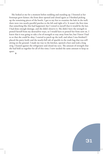She looked at me for a moment before nodding and standing up. I listened as her footsteps grew fainter; the front door opened and closed again as I finished picking up the remaining pieces of the bottle. I got to my feet to examine the hole in the wall; there were two nearly-parallel patches to the left and right of it. It wasn't the first time that something like this had happened, but I vowed to myself that it would be the last. I had done enough damage, and she didn't deserve it. She didn't have the strength to protect herself from my destructive ways, so I would have to protect her from now on. I knew that it was going to take a lot of strength to stay away from her, but I knew I had to so that she could be okay. I started to patch up the wall, and when I was finished I placed the putty knife and the nearly-full tub of spackle in the trash bag that was still sitting on the ground. I made my way to the kitchen, opened a beer and took a long swig. I leaned against the refrigerator and closed my eyes. The amount of strength that she had held us together for all of this time; I now needed the same amount to keep us apart.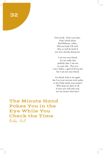Don't look. Don't you dare. Don't think about Red Balloons, either. Did you look? Oh well. May as well do both if you were already doing one.

I am not your friend. Let me make that perfectly clear. I am not on your side. Not ever. I am a father, a god of all you do, but I am not your friend.

Go ahead, look at me again. Am I on your nervous wrist today, or do I hide inside your pocket? Why keep me there at all if your eyes will only seek me out sooner than later?

The Minute Hand Pokes You in the Eye While You Check the Time Bobby Bolt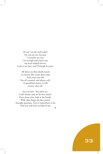Or am I on the wall today? Do you see me, because I certainly see you. I sit on high and watch you, my loyal subject forever. Look at my face, and I'll laugh in yours.

All slaves on their death-march to eternity like count their steps. And count you did. You all counted, and always will. A quantified misery is still misery, after all.

Are you late? You often are. Look closely, and see by how much. Even closer now, look at the hands. With what finger do they point? Enough questions. You've somewhere to be, And you only have so little of me.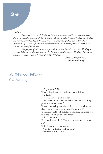*10/1/14*

*My name is Dr. Michelle Singer. This record was created from recordings made during a three day session with Ben Whitling, 26, at my Lake Tranquil facility. The facility is a cabin designed and built to house both a patient and myself as well as providing therapeutic space in a safe and secluded environment. All recordings were made with the written consent of the patient.*

*The purpose of this record is to provide an insight into the work Mr. Whitling and I conducted from April 7-9 of this year, for further counseling of Mr. Whitling. This record is being provided to you at the request of Mr. Whitling.*

> *Thank you for your time. -Dr. Michelle Singer*

## **A New Man** Cole Moriarty

*Day 1. 12:30 P.M.* "First thing, I want you to know that this isn't your fault." "Yes it is. How could it not be?" "You were manipulated and lied to. No one is blaming you for what happened." "So are you trying to make me feel better by telling me that I'm not responsible because I'm so weak?" "I think it would be helpful if you stopped thinking of it in terms of strength and weakness." "I don't understand." "I know that you don't. That's what we're here to work on." "I don't know that that's true." "Why do you think we're here then?" "Because I'm radioactive."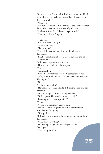"Ben, you seem frustrated. I think maybe we should take some time so you feel more settled here. I want you to feel comfortable."

"Whatever."

"We can take as much time as we need to. How about an hour? We can come back sooner if you'd like." "An hour is fine. Am I allowed to go outside?" "Absolutely, this isn't a prison."

1:04 P.M.

"Let's talk about Abagail."

"What about her?"

"She hurt you."

"Abagail doesn't have anything to do with what happened."

"I realize that this isn't easy Ben, we can take this as slowly as we need."

"Ask me what you want to ask me."

"How did you feel after she left you?"

"Angry."

"Come on Ben."

"I felt like I went through a trash compacter. It was awful, okay? I felt like shit.""Is that when you met John Herrington?"

"No."

"Tell me about John."

"He was as smooth as a knife. I think the term is hypermasculine."

"So you thought of him as an alpha male."

"Yeah, I guess. He was charismatic as hell."

"Looking back, how do you feel?"

"About what?"

"About your first impression of him."

"Sadness. Everything spiraled out of that moment.

It makes me feel guilty."

"Why guilty?"

"If I had kept my mouth shut, none of this would have happened."

"What are you writing?"

"I'm writing that you don't have perspective."

"Fuck you."

"That isn't productive."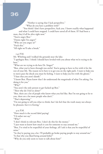"Neither is saying that I lack perspective."

"What do you have a problem with?"

"You think I don't have perspective, fuck you. I know exactly what happened and what I could have stopped. I could have saved all of them. If I had been a man, they'd all be alive right now."

"You're angry Ben."

"Damn right I'm angry!"

"Who are you angry at?"

"Fuck this."

"All right we'll take a break."

1:41 P.M.

Mr. Whitling and I walked the grounds near the lake.

"I apologize Ben. I think I should have leveled with you about what we're trying to do here."

"What are we trying to do here Dr. Singer?"

"Ben, what you've been through was awful. You're going to have to live with it for the rest of your life. The reason we're here is to get you on the right path. I want to help you to move past the shock you must be feeling. I want to help you live with the ghosts." "I hate that you aren't dumb."

"I know Ben. Please know that I do understand the magnitude of what I'm asking. I'm doing it for you."

"Why?"

"You aren't the only person to get fucked up Ben."

"Then why do I feel so alone?"

"Ben, there are a lot of people who know what you feel like. But I'm not going to lie to you, there are a lot more people who don't."

"That's depressing."

"I'm not going to tell you what to think, but I do feel that the truth many not always be pleasant, but it is freeing."

4:25 P.M.

"How much is the record label paying?

"I'd rather not say."

"Why?"

"I don't think its relevant Ben. I don't do this for the money."

"I just want to know how much it cost for someone to stay around me."

"Ben, I've tried to be respectful of your feelings, all I ask is that you be respectful of mine."

"So they're paying you a lot. I'll probably go broke paying people to stay around me." "Is that why you liked being around John?"

"Why do you only seem to want to talk about him?"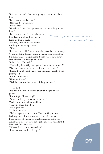"Because you don't. Ben, we're going to have to talk about him." "I'm not convinced of that." "How can I convince you?" "Excuse me?" "How long do you think you can go without talking about him?" "I'm not sure I ever have to talk about him. Is talking about him going to bring my friends back?" "No Ben, but it's time you started thinking about saving yourself." "Why?" "Because if you didn't want to survive you'd be dead already. You've made the decision already. That's a good thing, Ben. But surviving doesn't just come. I want you to have control over whether this destroys you or not." "I don't think I'm ready." "That's okay Ben. Why don't you tell me about your band?" "We have a name you know, t-shirts and everything." "I know Ben, I bought one of your albums. I thought it was pretty good." "Really? Which one?" "Hazelnut Disco." "Well I'm glad you bought one of the good ones." 6:42 P.M. "Do you mind if I ask who you were talking to on the phone?" "Just this girl I know, why?" "You seemed very relaxed talking to her." "Yeah. I can be myself around her." "That's no small thing Ben." "No, I guess not." "Tell me about her." "She's a singer in a band out in Chicago. We got drunk backstage once. It was a few years ago, before we got big. I lost touch with her for a while. She reached out to me actually. I'm not sure how, but I got a call from her after I'd been back for a few weeks." "When's the last time you saw her?" "I haven't seen her since that gig." *Because if you didn't want to survive you'd be dead already.*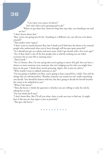"Can I give you a piece of advice?"

"Isn't that what you're getting paid to do?"

"When we get done here, however long that may take, you should go out and see her."

"I don't know about that."

"Ben, you're not going just for her. Standing in a different city can tell you a lot about yourself."

"That makes sense I guess."

"I don't want to sound alarmist Ben, but I think you'll find that the desire to be around people who understand what you've been through will become quite powerful."

"So I should just get on a plane and meet some chick I got drunk with a few years ago?" "Yes, if that chick is one of the few people who is actively seeking you out when everyone else in your life is running away."

"That's harsh."

"No, it's honest. Ben, I'm not saying that you're going to marry this girl, but you have a chance to meet someone new, someone who isn't judging you for who you might have been in the past. I think that's worth pursuing. Again, this is just my advice." "Why would I want to subject someone to me?"

"I'm not going to bullshit you Ben, you're going to hate yourself for a while. You will do things that are self-destructive. Weather someone can stand you isn't really something you decide. You should be honest with her, but she's going to decide for herself weather she wants to be subjected to you."

"What if she leaves?"

"Then she leaves. I think the question is whether you are willing to take the risk by asking her to stay."

"Do you think she'll stay?"

"I don't know Ben. But I'll tell you what, there is only one way to find out. It might hurt if she says no, but regret is just as powerful."

"This got a bit heavy."

. . . . . . . . . .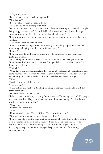*Day 2 10:17 A.M.*

"I'm not scared as much as I am depressed."

"Why is that?"

"Because of how much is wrong with me."

"What do you think is wrong with you?"

"I'm angry and pissy and I throw tantrums. I barely sleep at night. I hate other people being happy because I can't feel it. I feel like I'm a corrosive asshole who destroys everyone around me. I feel like everyone I love abandons me."

"I know that wasn't easy to say Ben. You have a remarkable ability to articulate how you feel."

"That doesn't seem to be much help."

"It does help Ben. Giving voice to your feelings is incredibly important. Knowing something and saying it out loud are different things."

"I guess."

"Ben, I've been doing this for a while. I know the difference between acute and prolonged trauma."

"So watching my friends die wasn't traumatic enough? Is that what you're saying?" "Ben, I don't think I've said that. I don't think you believe that's what I said either. I know this is difficult ben."

"Ah fuck."

"What I'm trying to communicate is that you have been through both prolonged and acute trauma. They both manifest themselves in different ways. If you don't want to talk about John, then we need to talk about the other people who hurt you." "Who?"

"Sarah, Emily and all the others."

"They're gone."

"Yes. But they also hurt you. You keep referring to them as your friends, Ben I don't think they were."

"How the fuck would you know?"

"I don't know, not with any certainty. But from where I'm sitting, they look like people who were recruited. They choose John over you. They were wrong, Ben, but I don't think it makes it hurt any less."

"Whatever."

"Please don't do that Ben."

"What?"

"Please don't check out. This is difficult. This is also important."

"Why are you so adamant on me reliving everything?"

"Ben, we don't have control over what we remember. The only thing we have control over is weather we choose it make peace with our memories. You may never be comfortable with the ghosts you may live with for the rest of your life. But what I'm trying to help you to do is to help you keep those memories from eating away at your soul."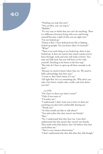"Nothing can stop that now."

"You can Ben, you can stop it."

"Bullshit."

"It's very easy to think that you can't do anything. There is a difference between living with scars and letting yourself become a shell of who you are right now." "I'm too fucked up."

"Damn it Ben. I have dedicated my life to helping fucked up people. Do you know what I've learned?" "What?"

"There is no such thing as too fucked up, there is just fucked up. It does not matter how much trauma you've been through, work and time will make it better. You may not fully heal, but you will learn to live with yourself. Deciding to be better is the first step."

"But why do I have to open up all these wounds to do that?"

"Because we need to know where they are. We need to fully acknowledge that they exist."

"I want to. But I don't know if I can."

"All right Ben, let's try something else. Why don't you take a few hours, maybe take a walk, and write down you feel."

3:51 P.M.

"Do I have to show you what I wrote?"

"Only if you want to."

"I'd rather not."

"I understand. I don't want you to have to show me anything you don't feel comfortable sharing me." "Thank you."

"So what would you like to talk about?"

"You said earlier that they weren't my friends." "Ben-"

"No, I understand that they hurt me, I just don't understand why that means they weren't my friends. They made some bad choices, but I do believe that they cared about me."

"That's a very mature observations."

"I don't understand why they did what they did though."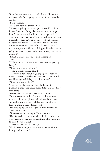"Ben, I've read everything I could, but all I know are the basic facts. You're going to have to fill me in on the details."

"Fuck. All right."

"What don't you understand Ben?"

"When everything was going good, it was like a family. I loved Sarah and Emily like they were my sisters, you know? Not romantic, but I loved them. I guess that's something I can't let go of. We went to this diner, I guess it must have been L.A., and we got food and someone bought a few bottles of Jack Daniels and we just got drunk off our asses. It was before all the heavy stuff. And it was just fun. We were all happy. We talked about going to Canada to play in the snow. It was just a perfect moment."

"Is that memory what you've been holding on to?" "Yeah."

"Tell me about what happened when it started getting heavy."

"What do you want to know?"

"Tell me about Sarah and Emily."

"They were sisters. Beautiful, just gorgeous. Both of them. They were there before I was there. I don't think I would have joined if they hadn't been there." "What drew you to them?"

"They were so damn smart. I'm a fairly intelligent person, but they were just so quick. It felt like they knew everything."

"Is that why you brought them to the studio?"

"So you know about that. Look, in my line of work, there are a lot of people who will tell you how smart and perfect you are. I trusted them, so yeah, I fucking brought them to the goddamn studio."

"I'm not judging you Ben. I just want to understand." "Yeah, ok. I'm sorry."

"You don't have to apologize. Please continue."

"Ok. But yeah, they were so talented. They're the ones who were always making the paintings John was selling to keep the house afloat."

"They didn't ask you for money?"

"No. I always thought that was weird, because I would have given it to them."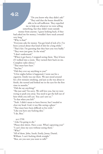"Do you know why they didn't ask?" "They said that the house should be able to be self-sufficient. They expected me to help out whenever we were selling something, but they didn't want outside

money from anyone. I guess looking back, if they had asked me for money, I wouldn't have stuck around very long."

"Why is that?"

"Everyone asks for money. You get kind of sick of it. I've been cynical about that kind of shit for a long while."

"That's fair. I'm guessing that they hurt you very badly." "They were just gone. In the wind."

"I don't understand."

"When it got heavy, I stopped seeing them. They'd leave if I walked into a room. They turned their back on me. Complete radio silence."

"That must have hurt."

"You bet."

"Did they ever say anything to you?"

"A few nights before it happened, I went out for a

cigarette. Emily was out there. We just stood around for a few minutes smoking, and just as she was about to finish, she turned and looked me in the eyes for the first time in months."

"Did she say anything?"

"She just said 'I'm sorry. We still love you, but we were trying to push you away. You need to get the hell out of here while you still can. You can't save us.'"

"Is that when you left?"

"Yeah. I didn't mean to leave forever, but I needed to clear my head. God, it was like seeing a ghost."

"That must have been difficult to live with."

"Like you have any fucking idea."

"I do, Ben."

9:07 P.M.

"-Like I'm going to die."

"Please slow down. Have a seat. What's upsetting you?"

"I can't close my eyes without seeing them."

"Who?"

"All of them. John, Sarah, Emily, Jenny, Daniel,

William. I can't fucking think straight."

"Ben, are you sure you want to talk?"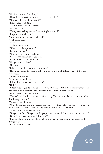"No. I'm not sure of anything." "Okay. First things first, breathe. Ben, deep breaths." "Why can't I get ahold of myself?" "It's not your fault Ben." "Yes it is! Don't you understand?" "No Ben, I don't." "Then you're fucking useless. I hate this place! Ahhh!" "It's going to be all right." "Stop fucking saying that! Fuck you!" "Talk to me Ben." "What?" "Tell me about John." "What the hell do you care?" "I care about you Ben." "Why won't you leave me alone?" "Because I'm not scared of you Ben." "I could beat the shit out of you." "No, you couldn't Ben." "Go away." "I don't believe that that's what you want." "How many times do I have to tell you to go fuck yourself before you get it through your head?" "You came to me Ben." "A moment of weakness." "I think it was a moment of strength." "Huh?" "It took a lot of guts to come to me. I know what this feels like Ben. I know that you're trying to push me away before I reject you. But I won't reject you Ben." "Don't give me anymore bullshit." "This isn't bullshit. I'm making a choice to stay. This isn't easy. I'm not a fucking robot. But I recognize hurt." "You really should leave." "Why? So you can prove to yourself that you're worthless? That you can prove that you don't deserve to live? I won't let you push me away because you're scared." "What the fuck is wrong with me?" "You got hurt Ben. You got hurt by people that you loved. You've seen horrible things." "Doesn't that make me a horrible person?"

"It doesn't have to. You don't have to be controlled by the places you've been and the things you've seen."

"I can't seem to wake up."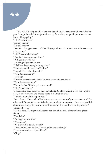### $\frac{2}{4}$

"You will. One day, you'll wake up and you'll touch the scars and it won't destroy you. It might hurt, hell it might fuck you up for a while, but you'll put it back in the box and keep going."

"I don't believe you."

"Doesn't matter."

"Doesn't matter?"

"Ben, I'm telling you were you'll be. I hope you know that doesn't mean I don't accept who you are."

"I don't know what to say."

"You don't have to say anything."

"Will you stay with me?"

"I'm not going anywhere Ben."

"I feel like there's a weight in my chest."

"Have you seen Lawrence of Arabia?"

"That old Peter O'toole movie?"

"Yeah. You ever see it?"

"Years ago."

"There's a scene where he holds his hand over and open flame."

"Yeah, I remember that."

"The trick, Ben Whitling, is not to mind."

"I don't understand."

"Focus on the hurt. Focus on the vulnerability. You have a right to feel this way. Be here, in this moment, and choose not to mind that it hurts."

"That doesn't make it stop hurting."

"No it doesn't. You can handle the hurt, you can survive it, if you can separate all the other stuff. You don't have to feel ashamed, or afraid, or doomed. If you need to think about those things, they can wait until tomorrow. The world isn't ending tonight." "It feels like it is."

"Yeah, it does. The night can be scary. You don't have to be alone with the ghosts though."

"That helps."

"I'm happy to hear that."

"What now?"

"Would you like to take a walk?"

"I don't think I can do that. I could go for smoke though."

"I can stand with you if you'd like."

"Okay."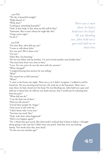9:19 P.M. "The sky is beautiful tonight." "Helps doesn't it." "What does?" "Looking at something beautiful." "Yeah. It does help. Is this what my life will be like?" "Sometime. But it won't always be night like this." "I hope you're right." "So do I." 9:55 P.M. "I'm sorry Ben, what did you say?" "I want to talk about John." "Are you sure? We've done a lot." "I'm sure." "Okay Ben, I'm listening." "He was my father and my brother. I've never loved another man besides him." "You must have been very close to him." "I was. For two years, he was the man with the answers." "What changed?" "I stopped buying that answers he was selling." "Why?" "He wanted me to kill someone." "What?" "I came to the house one night. There was a car I didn't recognize. I walked in and he found me. He was sweating and nervous. He took me to the basement. There was a man there, he had a hood over his head. He was bleeding out. John held out a gun and told me to shoot him, he told me was dead anyway, that I would just be releasing him from his pain." "What did you do?" "I ran the fuck out of there." "Did you tell anyone?" "I loved these people Dr. Singer."

"Your secret is safe with me."

"I don't know why I trust you."

"You have my word, Ben."

"Yeah, well, that's what happened."

"Did it ever happen again?"

"No. I think they got scared. But afterwards I realized they'd done it before. I thought about going to the cops but I didn't have any proof. And they were my fucking family. Two weeks later they were dead."

"So this was two months ago?"

*There was a man there, he had a hood over his head. He was bleeding out. John held out a gun and told me to shoot him*

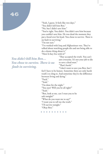"Yeah, I guess. It feels like two days."

"You didn't kill him Ben."

"No, but I didn't save him."

"You're right. You didn't. You didn't save him because you couldn't save him. He was dead the moment they put a hood over his head. You chose to survive. There is no fault in surviving."

"I'm not sure."

"I've worked with Iraq and Afghanistan vets. They've talked about watching people die and not being able to do a damn thing about it."

"How'd they live with it?"

*You didn't kill him Ben… You chose to survive. There is no fault in surviving.*

"They accepted the truth. You can't save everyone. It's not your job to die to save a dead man." "That's harsh."

"I don't want to save you Ben, but I

feel I have to be honest. Sometime there are only harsh truth's to cling to. And sometime they're the difference between living and dying."

"Fuck."

"Yeah."

"I'm done for the night."

"You sure? Will you be all right?"

"Yeah."

"Ben, look at me, can I trust you to be safe tonight?"

"What do you want me to say?"

"I want you to tell me the truth."

"I'll survive tonight."

"Okay Ben."

. . . . . . . . .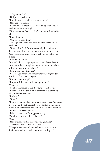*Day 3 9:30 A.M.*

"Did you sleep all right?"

"It took me a little while, but yeah, I did."

"How are you feeling?"

"Before we talk about that. I want to say thank you for dealing with me last night."

"You're welcome Ben. You don't have to deal with this alone."

"I will though."

"Why do you say that?"

"We'll get done here, and then who the fuck will deal with me?"

"You see this Ben? Do you know why I keep it on me? Because my clients can call me whenever they need to. Our relationship ends when you choose to end it, not before."

"I didn't know that."

"I usually don't bring it up until a client leaves here. I don't want them using it as an excuse to not talk about things we ought to talk about."

"So why are you telling me?"

"Because you asked and because after last night I don't

think you fit in that category."

"Is that a good thing?"

"I suppose it is. Ben, I still have questions."

"About what?"

"You haven't talked about the night of the fire yet."

"I don't think about it a lot. Compared to everything else, it doesn't seem real."

"Bullshit."

"What?"

"Ben, you told me that you loved these people. You chose not to go to the authorities because of that love. I find it difficult to believe that you could have watched them die and not have been affected."

"I don't know what I'm supposed to say."

"You knew they were in the house?" "Yes."

"How intense was the fire when you got there?"

"They were dead. I knew they were dead."

"The police report said you had burns, and that the firefighters had to restrain you from running in."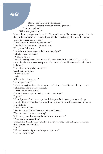"How do you have the police reports?"

"I'm well connected. Please answer my question."

"I'm not sure how."

"What were you feeling?"

"Shame I guess. Anger too. It felt like I'd gotten beat up. Like someone punched me in the gut. Fuck that sounds clichéd. I just felt like I was being pulled into the house." "How do you feel about it now?"

"I don't know. I just fucking don't know."

"You don't think about it a lot, don't you?"

"Every time I close my eyes."

"How did you know to go to the house that night?"

"John left me a voicemail."

"What did he say?"

"He told me they knew I had gone to the cops. He said they had all chosen to die rather than let themselves be captured. He said that I should come and watch what I had done."

"There is something else, isn't there?"

"Emily sent me a text."

"What did it say?"

"Help."

"Oh god Ben. I'm so sorry."

"It's not your fault."

"It isn't yours either Ben. Please know that. This was the action of a deranged and violent man. This was not your fault."

"I wish I could believe that."

"I know it isn't easy, Can I ask you to do something?"

"I guess."

"Even if you aren't able to accept that it isn't your fault, please just try not judge yourself. This won't settle in your head for a while. Wait until you are ready to judge yourself fairly."

"I don't know if I can."

"Ben, I'm sorry. I think I've misstated what I meant."

"There's a first time for everything."

"All I can tell you is that you should be kind to yourself."

"Why would I deserve that?"

"Because Emily and Sarah wanted you to survive. They were willing to let you hate them so that you could live."

"Fuck."

"We don't need to figure anything out right now."

"Can we take a break?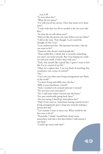9:45 A.M.

"So now what doc?"

"What do you mean?"

"I've told you all my secrets. Does that mean we're done now?"

"I truly wish that was all we needed to do, for your sake Ben."

"So what do we talk about now?"

"Did you like the person you were before you met John?" "I did at the time. Now though, I can't stand the thought of who I was."

"I can understand that. The question becomes, who do you want to be?"

"Someone who doesn't watch people die."

"That's noble Ben. I think that is certainly something you and I can work towards. But I was hoping we could try and start small, if that's okay with you."

"Yeah, that sounds like a good idea. I guess I want to feel like I'm in control of my life."

"Okay, let's explore that. Can you think of anything that would give you a sense of control?"

"No."

"Can I ask you what your living arrangements are? Back in the world."

"I've been living with Billy since the fire."

"Billy is your bandmate, correct?"

"Yeah. I needed to be around someone I trusted."

"Do you have your own place?"

"No. I sold mine when I moved into the house."

"Are you comfortable going back there?"

"Are you saying I should go somewhere else?"

"Only if you want to. Sometimes having control of one's living arrangements goes a long way towards making a person feel safe."

"Let's assume I want to move out. What would be the best way to do it?"

"Personally, I think I would find a hotel room somewhere and take a few days before I told anyone I was back."

49

"Could I get away with that?"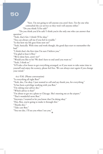"Sure. I'm not going to tell anyone you aren't here. I'm the one who contracted the car service so they won't tell anyone either."

"Do you think I'd be safe?"

"Do you think you'd be safe? I think you're the only one who can answer that question."

"Yeah, that's fair. I think I'll be okay."

"You can always call me if you feel in trouble."

"Is this how my life goes from now on?"

"Yeah, basically. With time and work though, the good days start to outnumber the bad."

"I think that's the first time I'm sure I believe you."

"I'm glad to hear it Ben."

"We're done here, aren't we?"

"Would you like to be? We don't have to end until you want to."

"Yeah, I think so."

"It'll take a few hours to get everything arranged, so if you want to take some time to yourself and enjoy the scenery, please feel free. We can always start again if you change your mind."

6:17 P.M. (Phone conversation)

"Is everything all right Ben?"

"Yeah, doc, I'm okay. I just wanted to call and say thank you, for everything."

"It has been a privilege working with you Ben."

"I'm taking your advice doc."

"Which advice is that?"

"I'm about to get on a plane to Chicago. She's meeting me at the airport."

"That's wonderful news Ben."

"Anyways, I wanted to let you know that I'm doing okay."

"Hey, Ben, you're going to make it through this."

"Thanks doc."

"Take care Ben."

"You too doc. I'll see you when I see you."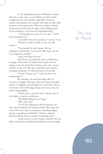At the shopping quarters of Bandra, women dressed in saris carry woven baskets on their heads, stopping to buy their Sunday vegetables. Potatoes, onions, and spinach rest on grain sacks laid out like table runners on the dusty earth. There are stands of knockoff perfumes and wood carvings of the elephant god. From a distance, I hear the late September dogs.

 "I'm buying you a silk sari," he says. "You'll look stunning in it."

"I wouldn't have the occasion to wear it," I say.

"When you wish to think of me, you will wear it."

"You mustn't be silly, Sanjay. We are colleagues, and besides, I am much older than you are. You forget I'm married."

"And you forget I'm not."

Back home, my husband Alex is at Brothers Lounge with bottles of Amstel and a stack of keno tickets. Later, he will reheat Chinese take-out, a rerun of SNL on the TV. The day would fade into another, routinely, tediously. As with all matters of our life.

"Come," Sanjay says. "I want to show you another place."

By rickshaw, we reach the high valley of Lonavla at twilight. The lakes and trees below resemble streaks of sapphire and emerald on a watercolor canvas. I sit close to the cliff's edge. Sanjay sits next to me, his brown legs dangling.

"Which one is your favorite?" Sanjay asks of my hobby, a small art collection.

"The Ballet Rehearsal on Stage."

"Why that one?"

"All of the excitement, and the dancers are free with nothing but air between them. They spin and twirl, with every step evolving into something bigger, greater, something worthwhile." Ahead, a rainbow bounces off the water, a curtain of dazzling color.

"Look at me," he says. Sanjay carefully lifts the fabric of my skirt and places his hand on my bare thigh.

### The Sari Sue Maresch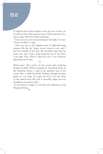It ought to have been simple to turn my eyes to him, yet I could not have felt more nervous if I'd stood alone on a dance stage with all of India watching.

 "Your eyes are even more amazing in this light," he says. "You're foolish," I reply.

 I close my eyes as the fragrant scent of night-flowering jasmine fills the air. Sanjay moves closer to me, and I feel the warmth of his skin. My shoulders sag when he kisses me, and I feel a long forgotten stir in my loins. I am light. Free. When I open my eyes, I see moisture glistening on his lips. \*\*\*

Weeks pass. Alex snores on the couch after watching Sunday football. While hanging his laundered polos in the bedroom closet, I stare at the garment box in the corner like a child feverishly looking through the glass panes at a toy shop. As I open the box, I see the luster of the hand-woven silk, feel it smoothly drape over my shoulders, around my waist.

 In the mirror, I begin to twirl like the ballerinas in the Degas painting.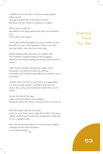Outside the sun sets, hues of burnt orange, golden yellow streak through crooked slits of the broken blinds. But beauty never looked so hopeless, so empty.

With a heavy head I sit, shrouded by the disgruntled hope that your chocolate eyes will crinkle at me again

As the dim, flickering lights cast a gray shadow on me, dust fills my eyes, feeble splashes of salty water fall past my cheeks, onto the rim of my mug.

Hands shaking, lips quivering, eyes tightly shut. The constant, nagging feeling of pain tugging harshly on my hands, pulling me further into my pit of misery.

Faint sounds whisper through the empty room, the gentle, cool breeze brushes by, chilling my hands, and I grip the mug tighter for another ounce of warmth.

It didn't sink in at first. I told them it was impossible, you were strong, healthy...nothing could stop you, and as days go by, I can't help but wonder how you're doing.

Across the side of the mug reads words scrawled in your writing, telling lies about the future, a future you're not a part of.

Each day spent together was a gift,

until you were taken away. I grip the handle of my mug tightly, swallowing the tears that threatened to fall, and let out a hopeless sigh.

Here lies the shattered glass of our memories, tangled amongst the lies and corruption of our shattered past.

Shattered Glass Rija Khan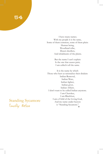I have many names. With my people it is the same, Some of them common, some of them plain: Human being, Woodland tribe, Desert dwellers, And inhabitants of the plains.

> But the name I can't explain Is the one that causes pain; I am called it all the same.

It is the name by which Those who hurt us rationalize their disdain: Indian Removal, Indian Wars, Indian fighter, Indian giver, Indian Affairs. I don't want to be called Indian anymore. I am Cherokee, I am Blackfoot, I am a Child of the Living God, And my name under heaven is "Standing Sycamore."

Standing Sycamore Timothy Nelson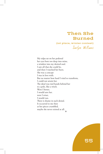### Then She Burned

#### (1st place, winter contest) Jaclyn Williams

My tulpa sat on her pedestal her eyes bore too deep into mine, a window into my desired soul. I saw all that she could be, and then I watched her burn. She was a concept I was in love with. But no matter how hard I tried to transform, I could not attain her. The ideal was tied hands behind her to a pole, like a witch. Were I better, I would save her. were I wiser, I would run. There is shame in such denial. It occurred to me then as her pieces crumbled, maybe she never existed at all.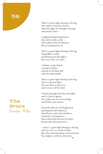There's a green light shining in the fog that makes its presence known when the edges of a thought converge and quietly atone—

a nightmarish glowing beacon that will not dim or die and it glares from the distance like an omnipresent eye.

There's a green light shining in the fog, impossible to reach, and blotting out that light is but a story that we teach—

a fantasy, a pipe dream, a denial of reality instead we all must deal with this abnormality.

There's a green light shining in the fog, that ever-present glow. Not just there to alert you, and it's not at all for show.

It shines through both day and night, and it's hard to ignore, for it takes you out of everything and all that came before.

And still, when it's all disappeared: psychopaths and racketeers, disturbance, noise that interferes, machinery and engineers, bones destroyed between two gears, hatred, spite that perseveres—

—there's a green light shining in the fog, and you can try to push it down. But when that faint glow is all you know You might as well have drowned.

## The Stare Brendan McRae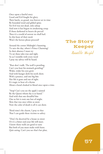Once upon a fateful story Good and Evil fought for glory. Their battle, so grand, was forever set in time By bounded word and gilded spine. Yet Evil was not dead, only asleep And now it has begun its awakening creep. If those darkened in hearts do prevail Then it's a world of sorrow we shall hail. In this hour of their need, Won't the heroes please proceed?

Around the corner Midnight's haunting To save the day, where's Prince Charming? In their absence I must try To set these tales true and right. So as I tremble with every word I pray my advice will be heard.

"Run don't walk. The wolf is prowling. Can't you hear his stomach growling?" Wider, wider his eyes grow And with hunger doth his teeth show. With a pounce, and one big bite Her life is gone and out of sight. It's tragic to hear of a rhyme About a hood cloaked in blood once upon a time.

"Stop! Can't you see the apple's tainted By the Queen whom thy is so hated." And with that one dreadful bite One so fair is now one lost of might. Skin that was once white as snow Now the color of death is all it can show.

Third time's the charm, I pray to thee That I can guide these victims to safety.

"Don't be deceived by a house so sweet Or it's a bitter end your life will meet. I know those walls are good to taste But both of you must make with haste. Quit eating. Can't you see that's her plan, The Story Keeper Annette Wright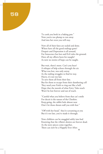To cook you both in a baking pan." Now you're too plump to run away And into her oven you will stay.

Now all of their fates are sealed and done. Where have all the good endings gone? Despair and Depression is all around, For Innocence has lost and Evil rules the ground. Have all my efforts been for naught? As now no stories of hope can be taught.

But wait, there's more. Can't you hear? A whisper of help echoes through the air. What was lost, was only astray As the ending struggles to find its way. Hurry, it's not too late To save them all from their fate. But for them to escape from their slumbering cell They need your Faith to ring out like a bell. Hope that the morals of what Fairy Tales teach Won't be lost forever and out of reach.

"Careful what you believe from that cat's smile For deceit is the nature of the Cheshire. Keep going, the rabbit hole almost near Don't let those shouts stall you with fear."

"Off with her head," they're screaming at you But it's too late, you've made it through.

Now children can be snuggled safely into bed Knowing that the villain's desires are forever dead. As the story pieces come together, There can now be a Happily Ever After.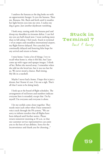I undress the banana as the dog looks on with an opportunistic hunger. It eyes the banana. Then me. Banana. Me. Back and forth until it steadies her light brown eyes into my own. I realize my dog is gone. Just another daydream vanishing.

I look away, tossing aside the banana peel and droop my shoulders in tiresome defeat. I can feel my eyes are half closed now. I want nothing more than to fall asleep. I feel stuck. Stuck in terminal 7 of an empty and soundless international airport, my flight forever delayed. Not canceled, but continually delayed and fostering false hope for any arrival and return to home.

I miss home. I miss a lot of things. I try to recall what home is, what it felt like, but I just come up with vague and opaque images. I think of her. Before she moved away. I remember when she told me she loved me, but it was too late for us. We never stood a chance. Bad timing. My life in a nutshell.

Maybe I never had a home. I hope this is just a dream, but I know it's not. I let out a sigh. That's all that I seem to be doing lately.

I look up at the board of flight schedules. The arrangement of red letters and numbers indicate everyone here is stranded, except that I'm by myself. I'm everyone and everyone is alone.

I let my eyelids come closer together. They nearly meet each other when I hear someone's voice crack through the PA system, "We are sorry to inform travelers that all flights have been delayed until further notice. Please return tomorrow morning at 10 a.m. so that our customer service representatives can assist you to the best of our abilities. Sorry for the inconvenience and thank you for choosing..."

## Stuck in Terminal 7 David P. Garvey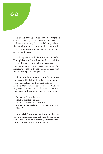I sigh and stand up. I'm so tired I feel weightless and void of energy. I don't know how I'm awake and semi-functioning. I see the flickering red exit sign hanging above the door. My bag is slumped over my shoulder, tilting me to one side. I make my way to the exit.

Each step seems both like a triumph and defeat. Triumph because I'm still moving forward, defeat because I wonder how much a man can take. The door opens by itself; at least it recognizes I'm important. A cab sits by the edge of the curb with the exhaust pipe billowing out heat.

I knock on the window and the driver motions me to get inside. I climb into the backseat, set my bag down, and lean my head back onto the headrest. Heat, warmth, cozy. This is the best I've felt, maybe the best I've ever felt I tell myself. I find it strange that this comforts me, but I embrace it.

"Where to?" the driver asks. I mull it over for a minute. "Home," I say as I close my eyes. She pauses before she asks, "and where is that?" "West."

I can tell she's confused, but I hear and feel the car leave the airport. I can tell we're driving faster now. I don't know what lies west, but that's okay for now. At least everyone is not alone.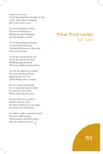I want to run away, To feel the wind blow through my hair. I don't know where I'm going, But I can't seem to care.

To roam from place to place From sea to shining sea, Taking very few belongings, Just my daughter and me.

To see the looming mountains Covered thick with snow; Or behold the beauty of the valley That rests far below.

To feel the warmth of the sun As my feet sink in the sand, Walking along the beach With my daughter hand in hand.

To view the sights and wonders Of a new and distant land, Appreciating every tree And building where it stands.

Her eyes wide with wonder As we roam from place to place, To experience the world With a smile upon her face.

So much there to see and do And we must do it fast For when we blink our eyes again, Too much time has passed.

So, hold on tight to mommy's hand Oh sweet child of mine, And I promise with all my heart That we will find the time.

#### The Traveler Salli Sullins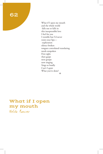What if I open my mouth and the whole world falls out or falls in this inexpressible love I feel for you I tremble but I'd never resist your lips exploration silence broken tongues convoluted translating needs unspoken First sighs then gasps next grasps now singing Sings so loudly Can't I quiet What you've done?

## What if I open my mouth Nelida Ramirez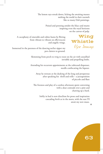The lemon rays streak down, licking the awaiting masses melting the world in their warmth like so many Dali paintings.

> Poised and penning amidst the lilacs and mums inspiring even the royal horizons on the canvas of pulp.

> > Wing Whistle Elyse Jennings

> > > 63

A cacophony of emeralds and rubies hums by flitting from vibrant to vibrant on effervescent and angelic wings.

Immersed in the pureness of the dancing nectar sipper my pen clatters to ground.

> Skimming from perch to twig to roost on the air with unsullied invisible and propelling limbs.

> Attending his recurrent appointments at the rubicund dispenser, needle confiscating the liqueur.

Away he retreats at the dusking of the long and prosperous after speaking his thrill and trills – a juxtaposition of piccolo and flute

The freeness and play of a careless afternoon spent conversing with a dear comrade over a pint and chatting up a bard.

> Softly in bed is new direction for prose and inspiration cascading forth as in the morn, with the sun I'll await my new muse.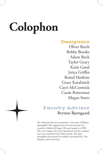## **Colophon**

## Designers

Oliver Barth Bobby Brooks Adam Buck Taylor Geary Katie Good Jerica Griffin Remel Hoskins Grace Katalinich Cayti McCormick Cassie Reiterman Megan Swett

## Faculty Advisor Brytton Bjorngaard

The Alchemist Review is printed at University of Illinois Springfield. The original source for this journal was created in Adobe InDesign CS6 and output as a PDF. The cover image is by Grace Katalinich and the compass icon was created by Cayti McCormick. The fonts throughout the journal are Adobe Garamond Pro, Vast Shadow, and Good Foot.